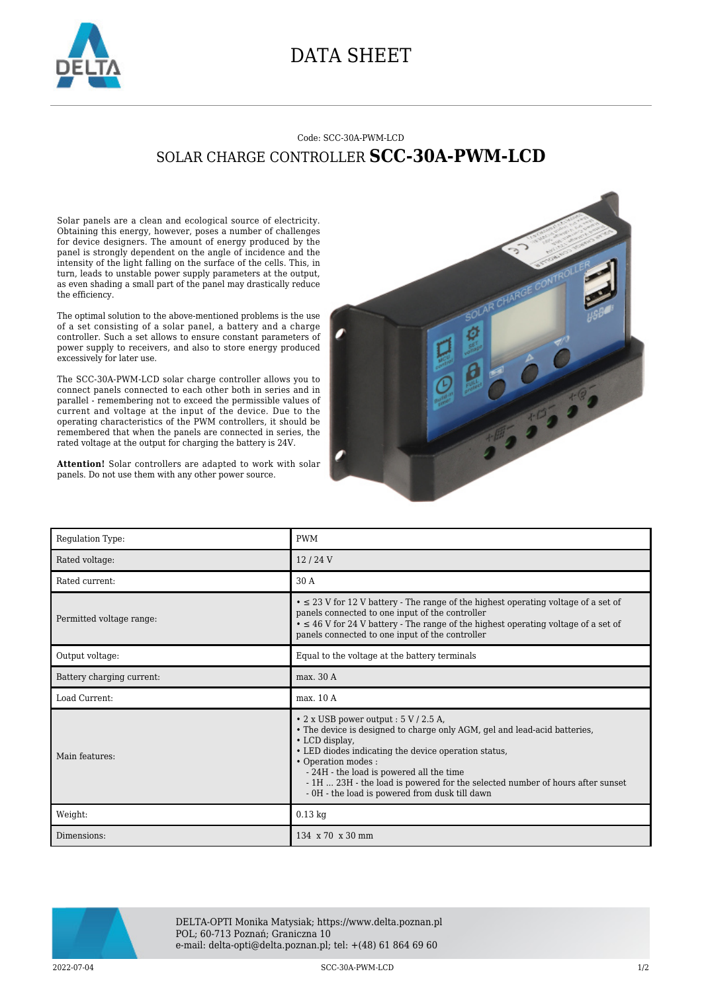

## DATA SHEET

## Code: SCC-30A-PWM-LCD SOLAR CHARGE CONTROLLER **SCC-30A-PWM-LCD**

Solar panels are a clean and ecological source of electricity. Obtaining this energy, however, poses a number of challenges for device designers. The amount of energy produced by the panel is strongly dependent on the angle of incidence and the intensity of the light falling on the surface of the cells. This, in turn, leads to unstable power supply parameters at the output, as even shading a small part of the panel may drastically reduce the efficiency.

The optimal solution to the above-mentioned problems is the use of a set consisting of a solar panel, a battery and a charge controller. Such a set allows to ensure constant parameters of power supply to receivers, and also to store energy produced excessively for later use.

The SCC-30A-PWM-LCD solar charge controller allows you to connect panels connected to each other both in series and in parallel - remembering not to exceed the permissible values of current and voltage at the input of the device. Due to the operating characteristics of the PWM controllers, it should be remembered that when the panels are connected in series, the rated voltage at the output for charging the battery is 24V.



**Attention!** Solar controllers are adapted to work with solar panels. Do not use them with any other power source.

| Regulation Type:          | <b>PWM</b>                                                                                                                                                                                                                                                                                                                                                                                               |
|---------------------------|----------------------------------------------------------------------------------------------------------------------------------------------------------------------------------------------------------------------------------------------------------------------------------------------------------------------------------------------------------------------------------------------------------|
| Rated voltage:            | 12/24V                                                                                                                                                                                                                                                                                                                                                                                                   |
| Rated current:            | 30 A                                                                                                                                                                                                                                                                                                                                                                                                     |
| Permitted voltage range:  | $\bullet \leq 23$ V for 12 V battery - The range of the highest operating voltage of a set of<br>panels connected to one input of the controller<br>$\bullet \leq 46$ V for 24 V battery - The range of the highest operating voltage of a set of<br>panels connected to one input of the controller                                                                                                     |
| Output voltage:           | Equal to the voltage at the battery terminals                                                                                                                                                                                                                                                                                                                                                            |
| Battery charging current: | max. 30 A                                                                                                                                                                                                                                                                                                                                                                                                |
|                           |                                                                                                                                                                                                                                                                                                                                                                                                          |
| Load Current:             | max. 10 A                                                                                                                                                                                                                                                                                                                                                                                                |
| Main features:            | $\cdot$ 2 x USB power output : 5 V / 2.5 A,<br>• The device is designed to charge only AGM, gel and lead-acid batteries,<br>• LCD display,<br>• LED diodes indicating the device operation status,<br>• Operation modes :<br>- 24H - the load is powered all the time<br>- 1H  23H - the load is powered for the selected number of hours after sunset<br>- 0H - the load is powered from dusk till dawn |
| Weight:                   | $0.13$ kg                                                                                                                                                                                                                                                                                                                                                                                                |



DELTA-OPTI Monika Matysiak; https://www.delta.poznan.pl POL; 60-713 Poznań; Graniczna 10 e-mail: delta-opti@delta.poznan.pl; tel: +(48) 61 864 69 60